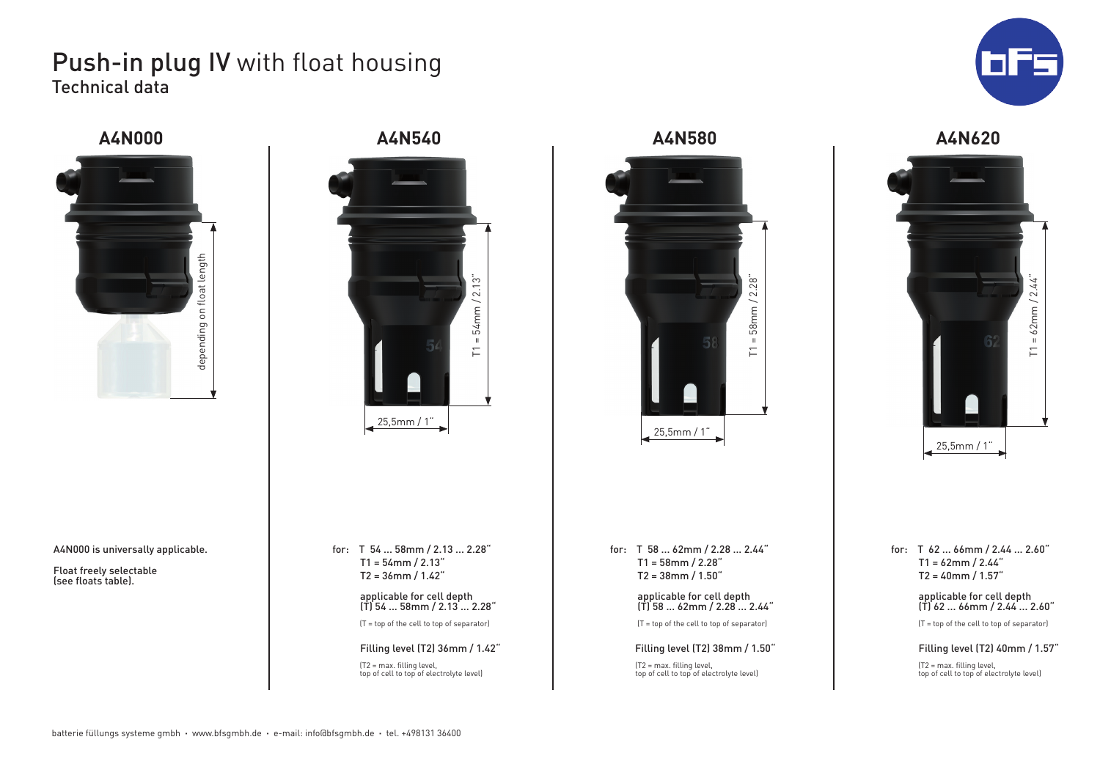# Push-in plug IV with float housing Technical data







A4N000 is universally applicable.

Float freely selectable (see floats table).

for: T 54 ... 58mm / 2.13 ... 2.28"  $T1 = 54$ mm / 2.13" T2 = 36mm / 1.42"

 applicable for cell depth (T) 54 ... 58mm / 2.13 ... 2.28" (T = top of the cell to top of separator)

 Filling level (T2) 36mm / 1.42" (T2 = max. filling level, top of cell to top of electrolyte level)

for: T 58 ... 62mm / 2.28 ... 2.44"  $T1 = 58$ mm / 2.28" T2 = 38mm / 1.50"

25,5mm / 1"

 $T1 = 58$ mm / 2.28"

 $58$ mm $/$ 

 $\overline{\mathbf{u}}$ 

 $\overline{\Gamma}$ 

 $2.28"$ 

 applicable for cell depth (T) 58 ... 62mm / 2.28 ... 2.44"

(T = top of the cell to top of separator)

Filling level (T2) 38mm / 1.50"

(T2 = max. filling level, top of cell to top of electrolyte level)





for: T 62 ... 66mm / 2.44 ... 2.60"  $T1 = 62$ mm / 2.44" T2 = 40mm / 1.57"

> applicable for cell depth (T) 62 ... 66mm / 2.44 ... 2.60"

(T = top of the cell to top of separator)

#### Filling level (T2) 40mm / 1.57"

(T2 = max. filling level, top of cell to top of electrolyte level)